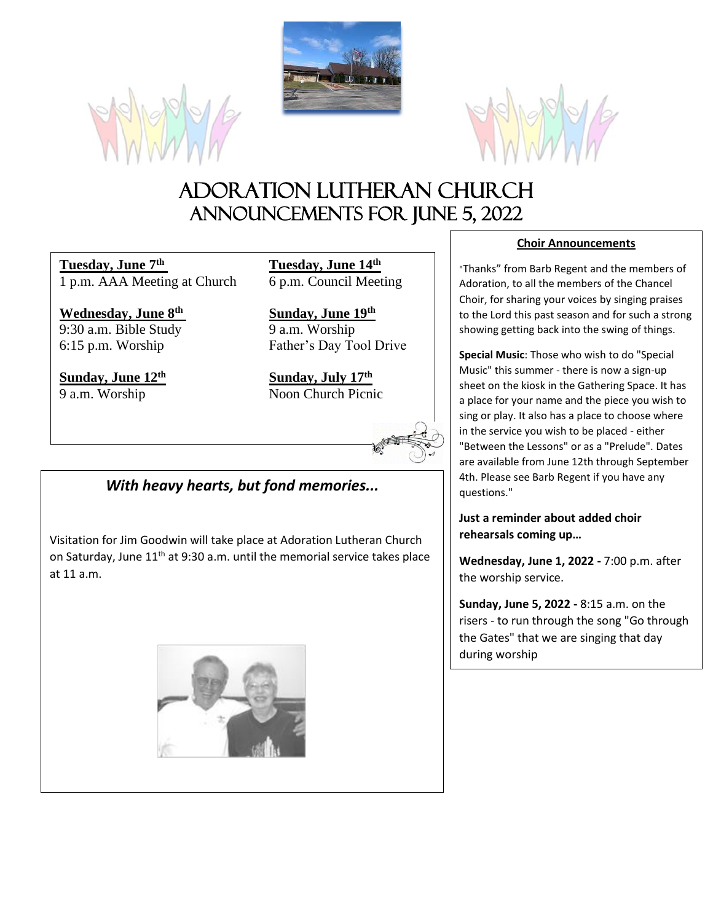





# Adoration Lutheran Church Announcements For JUNE 5, 2022

**Tuesday, June 7<sup>th</sup>** 1 p.m. AAA Meeting at Church 6 p.m. Council Meeting

**Wednesday, June 8**  $9:30$  a.m. Bible Study  $9$  a.m. Worship

**Sunday, June 12th Sunday, July 17th**

**Tuesday, June 14th** 

**th Sunday, June 19th** 6:15 p.m. Worship Father's Day Tool Drive

9 a.m. Worship Noon Church Picnic

# *With heavy hearts, but fond memories...*

Visitation for Jim Goodwin will take place at Adoration Lutheran Church on Saturday, June 11<sup>th</sup> at 9:30 a.m. until the memorial service takes place at 11 a.m.



# **Choir Announcements**

"Thanks" from Barb Regent and the members of Adoration, to all the members of the Chancel Choir, for sharing your voices by singing praises to the Lord this past season and for such a strong showing getting back into the swing of things.

**Special Music**: Those who wish to do "Special Music" this summer - there is now a sign-up sheet on the kiosk in the Gathering Space. It has a place for your name and the piece you wish to sing or play. It also has a place to choose where in the service you wish to be placed - either "Between the Lessons" or as a "Prelude". Dates are available from June 12th through September 4th. Please see Barb Regent if you have any questions."

**Just a reminder about added choir rehearsals coming up…**

**Wednesday, June 1, 2022 -** 7:00 p.m. after the worship service.

**Sunday, June 5, 2022 -** 8:15 a.m. on the risers - to run through the song "Go through the Gates" that we are singing that day during worship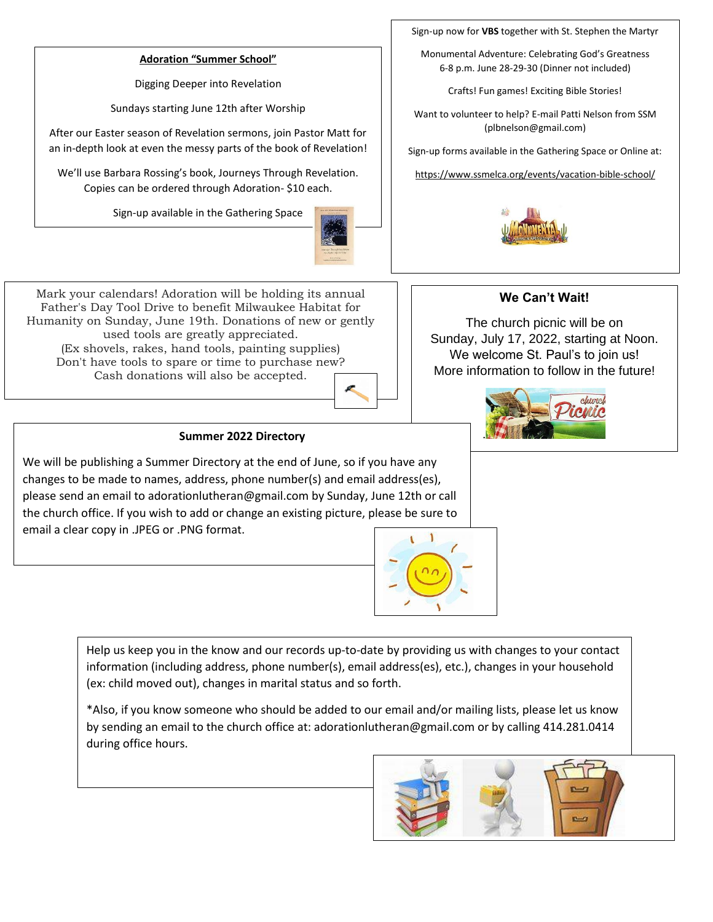#### **Adoration "Summer School"**

Digging Deeper into Revelation

Sundays starting June 12th after Worship

After our Easter season of Revelation sermons, join Pastor Matt for an in-depth look at even the messy parts of the book of Revelation!

We'll use Barbara Rossing's book, Journeys Through Revelation. Copies can be ordered through Adoration- \$10 each.

Sign-up available in the Gathering Space



Sign-up now for **VBS** together with St. Stephen the Martyr

Monumental Adventure: Celebrating God's Greatness 6-8 p.m. June 28-29-30 (Dinner not included)

Crafts! Fun games! Exciting Bible Stories!

Want to volunteer to help? E-mail Patti Nelson from SSM (plbnelson@gmail.com)

Sign-up forms available in the Gathering Space or Online at:

https://www.ssmelca.org/events/vacation-bible-school/



#### Mark your calendars! Adoration will be holding its annual Father's Day Tool Drive to benefit Milwaukee Habitat for Humanity on Sunday, June 19th. Donations of new or gently used tools are greatly appreciated. (Ex shovels, rakes, hand tools, painting supplies) Don't have tools to spare or time to purchase new? Cash donations will also be accepted.



# **We Can't Wait!**

The church picnic will be on Sunday, July 17, 2022, starting at Noon. We welcome St. Paul's to join us! More information to follow in the future!



### **Summer 2022 Directory**

We will be publishing a Summer Directory at the end of June, so if you have any changes to be made to names, address, phone number(s) and email address(es), please send an email to adorationlutheran@gmail.com by Sunday, June 12th or call the church office. If you wish to add or change an existing picture, please be sure to email a clear copy in .JPEG or .PNG format.



Help us keep you in the know and our records up-to-date by providing us with changes to your contact information (including address, phone number(s), email address(es), etc.), changes in your household (ex: child moved out), changes in marital status and so forth.

\*Also, if you know someone who should be added to our email and/or mailing lists, please let us know by sending an email to the church office at: adorationlutheran@gmail.com or by calling 414.281.0414 during office hours.

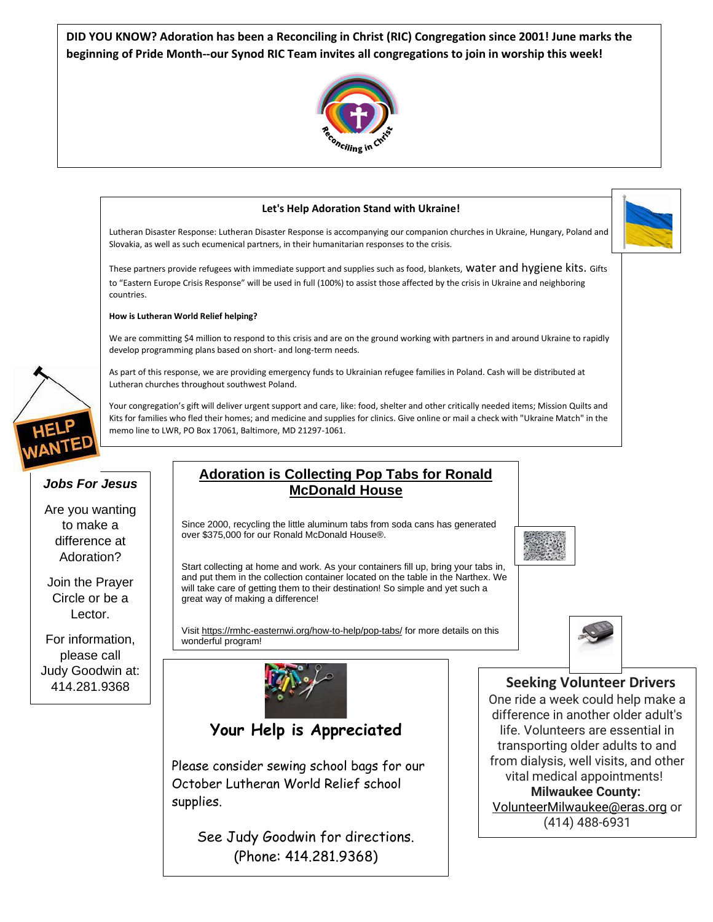**DID YOU KNOW? Adoration has been a Reconciling in Christ (RIC) Congregation since 2001! June marks the beginning of Pride Month--our Synod RIC Team invites all congregations to join in worship this week!**





(Phone: 414.281.9368)